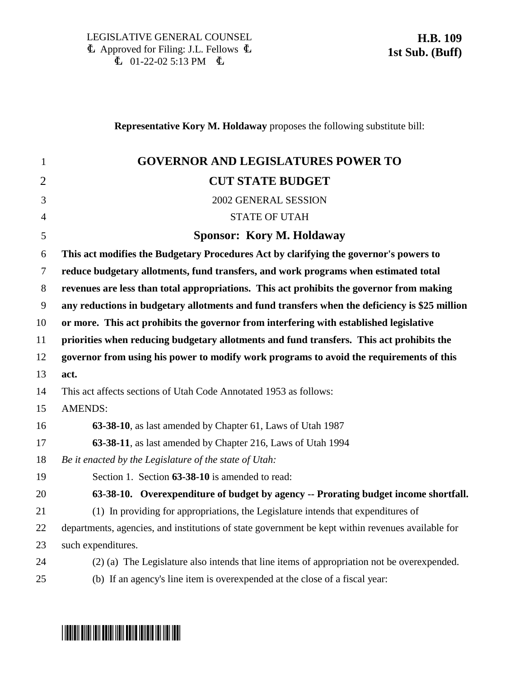**Representative Kory M. Holdaway** proposes the following substitute bill:

| $\mathbf{1}$   | <b>GOVERNOR AND LEGISLATURES POWER TO</b>                                                         |
|----------------|---------------------------------------------------------------------------------------------------|
| $\overline{2}$ | <b>CUT STATE BUDGET</b>                                                                           |
| 3              | 2002 GENERAL SESSION                                                                              |
| $\overline{4}$ | <b>STATE OF UTAH</b>                                                                              |
| 5              | Sponsor: Kory M. Holdaway                                                                         |
| 6              | This act modifies the Budgetary Procedures Act by clarifying the governor's powers to             |
| $\tau$         | reduce budgetary allotments, fund transfers, and work programs when estimated total               |
| 8              | revenues are less than total appropriations. This act prohibits the governor from making          |
| 9              | any reductions in budgetary allotments and fund transfers when the deficiency is \$25 million     |
| 10             | or more. This act prohibits the governor from interfering with established legislative            |
| 11             | priorities when reducing budgetary allotments and fund transfers. This act prohibits the          |
| 12             | governor from using his power to modify work programs to avoid the requirements of this           |
| 13             | act.                                                                                              |
| 14             | This act affects sections of Utah Code Annotated 1953 as follows:                                 |
| 15             | <b>AMENDS:</b>                                                                                    |
| 16             | 63-38-10, as last amended by Chapter 61, Laws of Utah 1987                                        |
| 17             | 63-38-11, as last amended by Chapter 216, Laws of Utah 1994                                       |
| 18             | Be it enacted by the Legislature of the state of Utah:                                            |
| 19             | Section 1. Section 63-38-10 is amended to read:                                                   |
| 20             | 63-38-10. Overexpenditure of budget by agency -- Prorating budget income shortfall.               |
| 21             | (1) In providing for appropriations, the Legislature intends that expenditures of                 |
| 22             | departments, agencies, and institutions of state government be kept within revenues available for |
| 23             | such expenditures.                                                                                |
| 24             | (2) (a) The Legislature also intends that line items of appropriation not be overexpended.        |
| 25             | (b) If an agency's line item is overexpended at the close of a fiscal year:                       |

# \*HB0109S1\*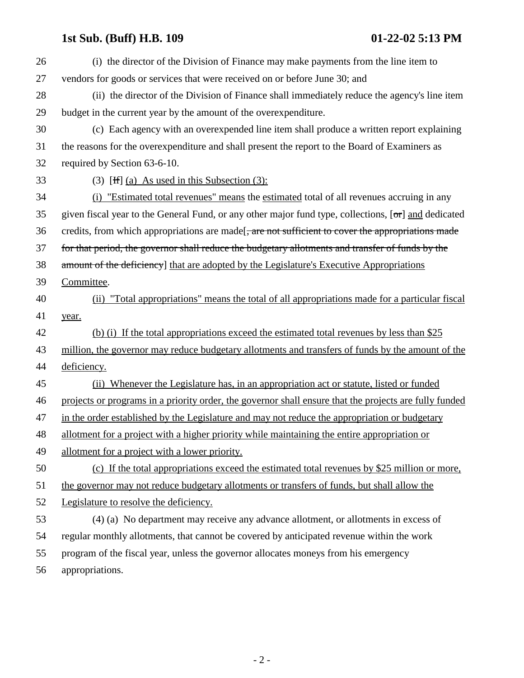## **1st Sub. (Buff) H.B. 109 01-22-02 5:13 PM**

| 26 | (i) the director of the Division of Finance may make payments from the line item to                          |
|----|--------------------------------------------------------------------------------------------------------------|
| 27 | vendors for goods or services that were received on or before June 30; and                                   |
| 28 | (ii) the director of the Division of Finance shall immediately reduce the agency's line item                 |
| 29 | budget in the current year by the amount of the overexpenditure.                                             |
| 30 | (c) Each agency with an overexpended line item shall produce a written report explaining                     |
| 31 | the reasons for the overexpenditure and shall present the report to the Board of Examiners as                |
| 32 | required by Section 63-6-10.                                                                                 |
| 33 | $(3)$ [H] (a) As used in this Subsection (3):                                                                |
| 34 | (i) "Estimated total revenues" means the estimated total of all revenues accruing in any                     |
| 35 | given fiscal year to the General Fund, or any other major fund type, collections, $[\sigma r]$ and dedicated |
| 36 | credits, from which appropriations are made <del>, are not sufficient to cover the appropriations made</del> |
| 37 | for that period, the governor shall reduce the budgetary allotments and transfer of funds by the             |
| 38 | amount of the deficiency] that are adopted by the Legislature's Executive Appropriations                     |
| 39 | Committee.                                                                                                   |
| 40 | (ii) "Total appropriations" means the total of all appropriations made for a particular fiscal               |
| 41 | year.                                                                                                        |
| 42 | (b) (i) If the total appropriations exceed the estimated total revenues by less than \$25                    |
| 43 | million, the governor may reduce budgetary allotments and transfers of funds by the amount of the            |
| 44 | deficiency.                                                                                                  |
| 45 | Whenever the Legislature has, in an appropriation act or statute, listed or funded<br>(ii)                   |
| 46 | projects or programs in a priority order, the governor shall ensure that the projects are fully funded       |
| 47 | in the order established by the Legislature and may not reduce the appropriation or budgetary                |
| 48 | allotment for a project with a higher priority while maintaining the entire appropriation or                 |
| 49 | allotment for a project with a lower priority.                                                               |
| 50 | (c) If the total appropriations exceed the estimated total revenues by \$25 million or more,                 |
| 51 | the governor may not reduce budgetary allotments or transfers of funds, but shall allow the                  |
| 52 | Legislature to resolve the deficiency.                                                                       |
| 53 | (4) (a) No department may receive any advance allotment, or allotments in excess of                          |
| 54 | regular monthly allotments, that cannot be covered by anticipated revenue within the work                    |
| 55 | program of the fiscal year, unless the governor allocates moneys from his emergency                          |
| 56 | appropriations.                                                                                              |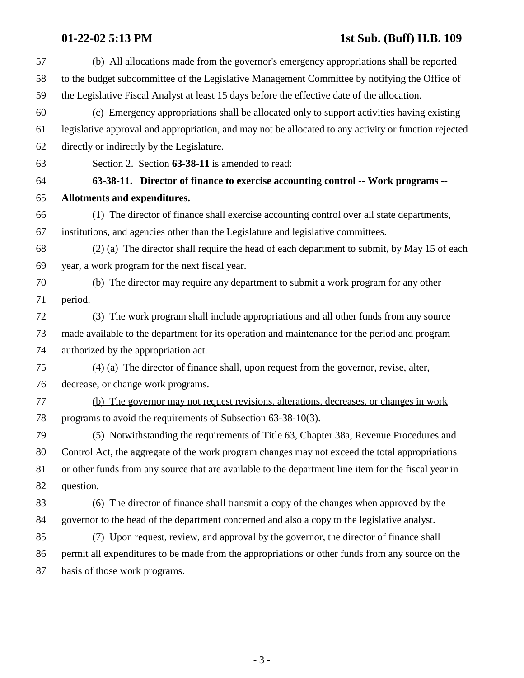## **01-22-02 5:13 PM 1st Sub. (Buff) H.B. 109**

| 57 | (b) All allocations made from the governor's emergency appropriations shall be reported               |
|----|-------------------------------------------------------------------------------------------------------|
| 58 | to the budget subcommittee of the Legislative Management Committee by notifying the Office of         |
| 59 | the Legislative Fiscal Analyst at least 15 days before the effective date of the allocation.          |
| 60 | (c) Emergency appropriations shall be allocated only to support activities having existing            |
| 61 | legislative approval and appropriation, and may not be allocated to any activity or function rejected |
| 62 | directly or indirectly by the Legislature.                                                            |
| 63 | Section 2. Section 63-38-11 is amended to read:                                                       |
| 64 | 63-38-11. Director of finance to exercise accounting control -- Work programs --                      |
| 65 | Allotments and expenditures.                                                                          |
| 66 | (1) The director of finance shall exercise accounting control over all state departments,             |
| 67 | institutions, and agencies other than the Legislature and legislative committees.                     |
| 68 | (2) (a) The director shall require the head of each department to submit, by May 15 of each           |
| 69 | year, a work program for the next fiscal year.                                                        |
| 70 | (b) The director may require any department to submit a work program for any other                    |
| 71 | period.                                                                                               |
| 72 | (3) The work program shall include appropriations and all other funds from any source                 |
| 73 | made available to the department for its operation and maintenance for the period and program         |
| 74 | authorized by the appropriation act.                                                                  |
| 75 | $(4)$ (a) The director of finance shall, upon request from the governor, revise, alter,               |
| 76 | decrease, or change work programs.                                                                    |
| 77 | The governor may not request revisions, alterations, decreases, or changes in work<br>(b)             |
| 78 | programs to avoid the requirements of Subsection 63-38-10(3).                                         |
| 79 | (5) Notwithstanding the requirements of Title 63, Chapter 38a, Revenue Procedures and                 |
| 80 | Control Act, the aggregate of the work program changes may not exceed the total appropriations        |
| 81 | or other funds from any source that are available to the department line item for the fiscal year in  |
| 82 | question.                                                                                             |
| 83 | (6) The director of finance shall transmit a copy of the changes when approved by the                 |
| 84 | governor to the head of the department concerned and also a copy to the legislative analyst.          |
| 85 | (7) Upon request, review, and approval by the governor, the director of finance shall                 |
| 86 | permit all expenditures to be made from the appropriations or other funds from any source on the      |
| 87 | basis of those work programs.                                                                         |
|    |                                                                                                       |